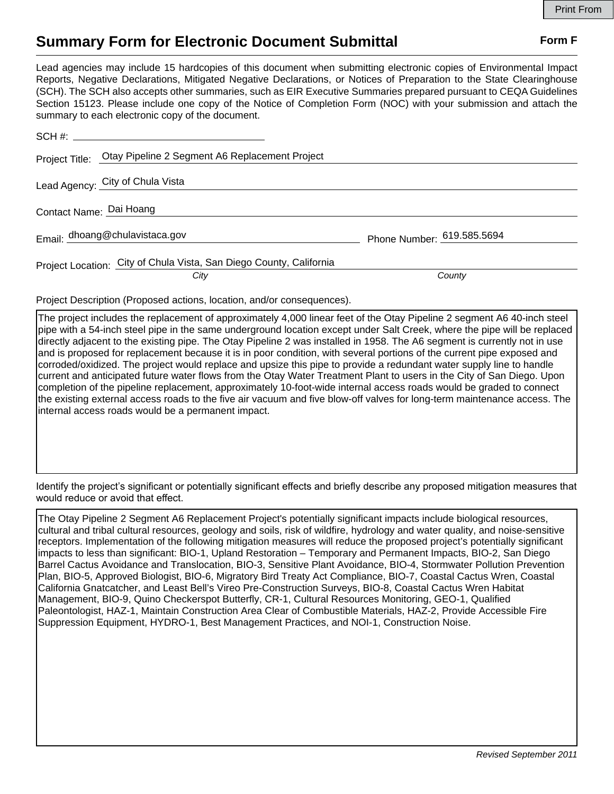## **Summary Form for Electronic Document Submittal Form F Form F**

Lead agencies may include 15 hardcopies of this document when submitting electronic copies of Environmental Impact Reports, Negative Declarations, Mitigated Negative Declarations, or Notices of Preparation to the State Clearinghouse (SCH). The SCH also accepts other summaries, such as EIR Executive Summaries prepared pursuant to CEQA Guidelines Section 15123. Please include one copy of the Notice of Completion Form (NOC) with your submission and attach the summary to each electronic copy of the document.

|                         | Project Title: Otay Pipeline 2 Segment A6 Replacement Project               |                            |
|-------------------------|-----------------------------------------------------------------------------|----------------------------|
|                         | Lead Agency: City of Chula Vista                                            |                            |
| Contact Name: Dai Hoang |                                                                             |                            |
|                         | Email: dhoang@chulavistaca.gov                                              | Phone Number: 619.585.5694 |
|                         | Project Location: City of Chula Vista, San Diego County, California<br>City | County                     |

Project Description (Proposed actions, location, and/or consequences).

The project includes the replacement of approximately 4,000 linear feet of the Otay Pipeline 2 segment A6 40-inch steel pipe with a 54-inch steel pipe in the same underground location except under Salt Creek, where the pipe will be replaced directly adjacent to the existing pipe. The Otay Pipeline 2 was installed in 1958. The A6 segment is currently not in use and is proposed for replacement because it is in poor condition, with several portions of the current pipe exposed and corroded/oxidized. The project would replace and upsize this pipe to provide a redundant water supply line to handle current and anticipated future water flows from the Otay Water Treatment Plant to users in the City of San Diego. Upon completion of the pipeline replacement, approximately 10-foot-wide internal access roads would be graded to connect the existing external access roads to the five air vacuum and five blow-off valves for long-term maintenance access. The internal access roads would be a permanent impact.

Identify the project's significant or potentially significant effects and briefly describe any proposed mitigation measures that would reduce or avoid that effect.

The Otay Pipeline 2 Segment A6 Replacement Project's potentially significant impacts include biological resources, cultural and tribal cultural resources, geology and soils, risk of wildfire, hydrology and water quality, and noise-sensitive receptors. Implementation of the following mitigation measures will reduce the proposed project's potentially significant impacts to less than significant: BIO-1, Upland Restoration – Temporary and Permanent Impacts, BIO-2, San Diego Barrel Cactus Avoidance and Translocation, BIO-3, Sensitive Plant Avoidance, BIO-4, Stormwater Pollution Prevention Plan, BIO-5, Approved Biologist, BIO-6, Migratory Bird Treaty Act Compliance, BIO-7, Coastal Cactus Wren, Coastal California Gnatcatcher, and Least Bell's Vireo Pre-Construction Surveys, BIO-8, Coastal Cactus Wren Habitat Management, BIO-9, Quino Checkerspot Butterfly, CR-1, Cultural Resources Monitoring, GEO-1, Qualified Paleontologist, HAZ-1, Maintain Construction Area Clear of Combustible Materials, HAZ-2, Provide Accessible Fire Suppression Equipment, HYDRO-1, Best Management Practices, and NOI-1, Construction Noise.